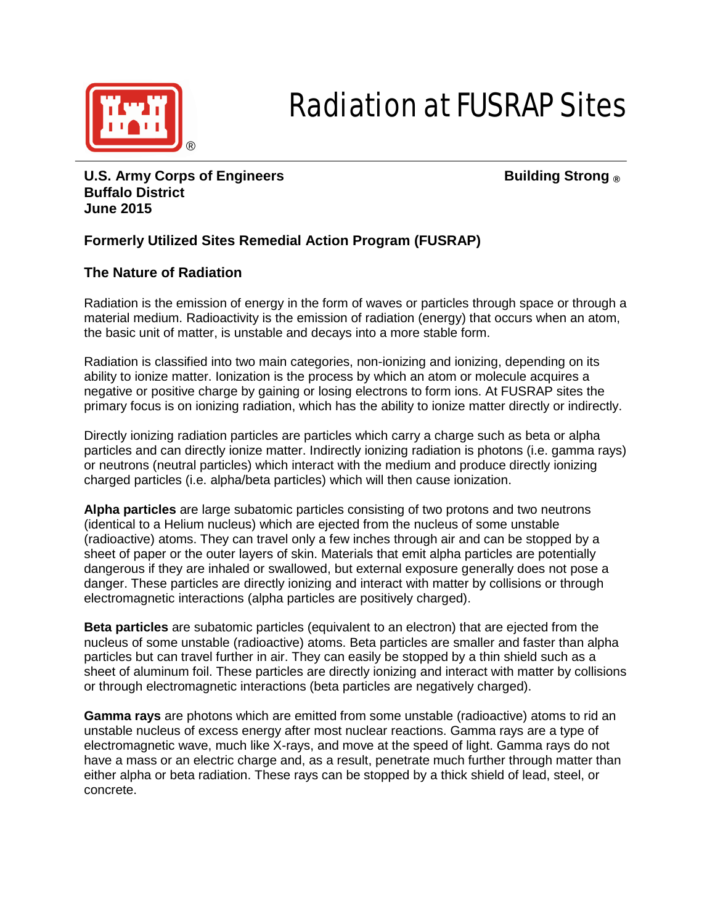

# Radiation at FUSRAP Sites

**U.S. Army Corps of Engineers Building Strong ® Buffalo District June 2015**

### **Formerly Utilized Sites Remedial Action Program (FUSRAP)**

#### **The Nature of Radiation**

Radiation is the emission of energy in the form of waves or particles through space or through a material medium. Radioactivity is the emission of radiation (energy) that occurs when an atom, the basic unit of matter, is unstable and decays into a more stable form.

Radiation is classified into two main categories, non-ionizing and ionizing, depending on its ability to ionize matter. Ionization is the process by which an atom or molecule acquires a negative or positive charge by gaining or losing electrons to form ions. At FUSRAP sites the primary focus is on ionizing radiation, which has the ability to ionize matter directly or indirectly.

Directly ionizing radiation particles are particles which carry a charge such as beta or alpha particles and can directly ionize matter. Indirectly ionizing radiation is photons (i.e. gamma rays) or neutrons (neutral particles) which interact with the medium and produce directly ionizing charged particles (i.e. alpha/beta particles) which will then cause ionization.

**Alpha particles** are large subatomic particles consisting of two protons and two neutrons (identical to a Helium nucleus) which are ejected from the nucleus of some unstable (radioactive) atoms. They can travel only a few inches through air and can be stopped by a sheet of paper or the outer layers of skin. Materials that emit alpha particles are potentially dangerous if they are inhaled or swallowed, but external exposure generally does not pose a danger. These particles are directly ionizing and interact with matter by collisions or through electromagnetic interactions (alpha particles are positively charged).

**Beta particles** are subatomic particles (equivalent to an electron) that are ejected from the nucleus of some unstable (radioactive) atoms. Beta particles are smaller and faster than alpha particles but can travel further in air. They can easily be stopped by a thin shield such as a sheet of aluminum foil. These particles are directly ionizing and interact with matter by collisions or through electromagnetic interactions (beta particles are negatively charged).

**Gamma rays** are photons which are emitted from some unstable (radioactive) atoms to rid an unstable nucleus of excess energy after most nuclear reactions. Gamma rays are a type of electromagnetic wave, much like X-rays, and move at the speed of light. Gamma rays do not have a mass or an electric charge and, as a result, penetrate much further through matter than either alpha or beta radiation. These rays can be stopped by a thick shield of lead, steel, or concrete.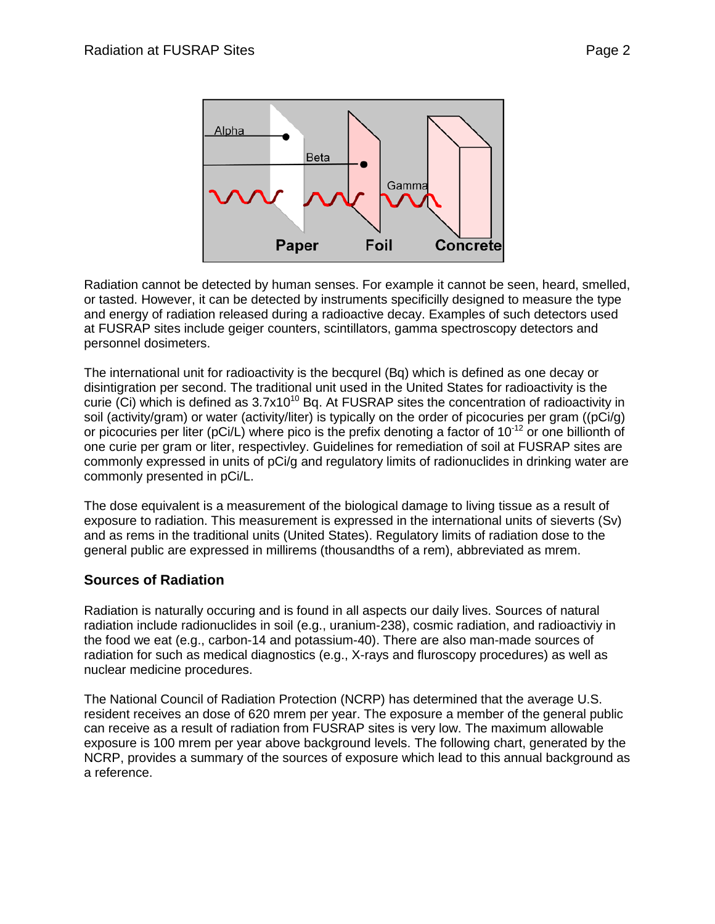

Radiation cannot be detected by human senses. For example it cannot be seen, heard, smelled, or tasted. However, it can be detected by instruments specificilly designed to measure the type and energy of radiation released during a radioactive decay. Examples of such detectors used at FUSRAP sites include geiger counters, scintillators, gamma spectroscopy detectors and personnel dosimeters.

The international unit for radioactivity is the becqurel (Bq) which is defined as one decay or disintigration per second. The traditional unit used in the United States for radioactivity is the curie (Ci) which is defined as  $3.7x10^{10}$  Bq. At FUSRAP sites the concentration of radioactivity in soil (activity/gram) or water (activity/liter) is typically on the order of picocuries per gram ((pCi/g) or picocuries per liter (pCi/L) where pico is the prefix denoting a factor of  $10^{-12}$  or one billionth of one curie per gram or liter, respectivley. Guidelines for remediation of soil at FUSRAP sites are commonly expressed in units of pCi/g and regulatory limits of radionuclides in drinking water are commonly presented in pCi/L.

The dose equivalent is a measurement of the biological damage to living tissue as a result of exposure to radiation. This measurement is expressed in the international units of sieverts (Sv) and as rems in the traditional units (United States). Regulatory limits of radiation dose to the general public are expressed in millirems (thousandths of a rem), abbreviated as mrem.

#### **Sources of Radiation**

Radiation is naturally occuring and is found in all aspects our daily lives. Sources of natural radiation include radionuclides in soil (e.g., uranium-238), cosmic radiation, and radioactiviy in the food we eat (e.g., carbon-14 and potassium-40). There are also man-made sources of radiation for such as medical diagnostics (e.g., X-rays and fluroscopy procedures) as well as nuclear medicine procedures.

The National Council of Radiation Protection (NCRP) has determined that the average U.S. resident receives an dose of 620 mrem per year. The exposure a member of the general public can receive as a result of radiation from FUSRAP sites is very low. The maximum allowable exposure is 100 mrem per year above background levels. The following chart, generated by the NCRP, provides a summary of the sources of exposure which lead to this annual background as a reference.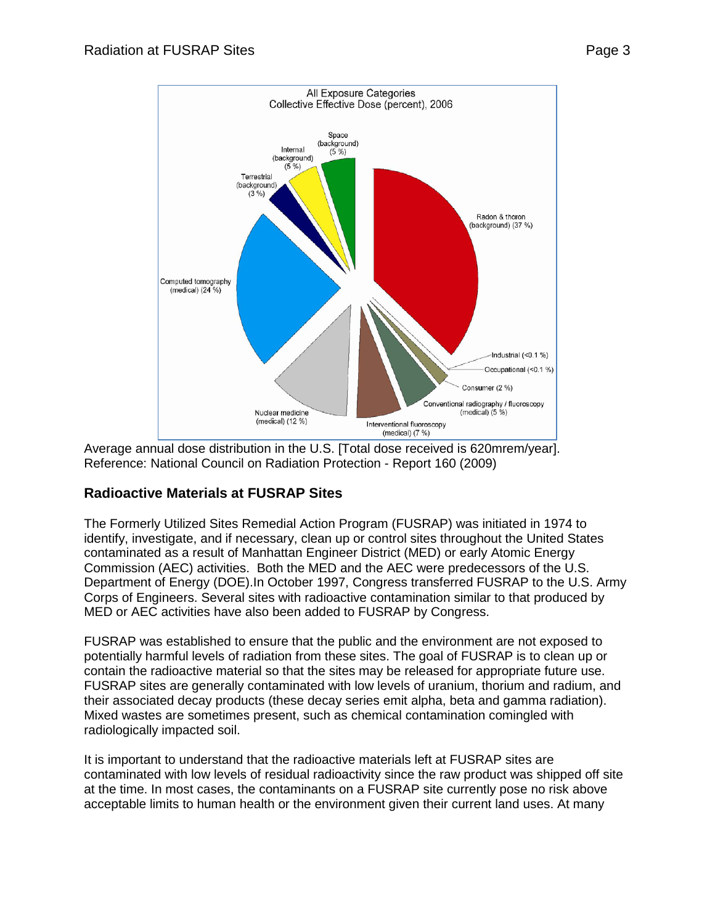

Average annual dose distribution in the U.S. [Total dose received is 620mrem/year]. Reference: National Council on Radiation Protection - Report 160 (2009)

## **Radioactive Materials at FUSRAP Sites**

The Formerly Utilized Sites Remedial Action Program (FUSRAP) was initiated in 1974 to identify, investigate, and if necessary, clean up or control sites throughout the United States contaminated as a result of Manhattan Engineer District (MED) or early Atomic Energy Commission (AEC) activities. Both the MED and the AEC were predecessors of the U.S. Department of Energy (DOE).In October 1997, Congress transferred FUSRAP to the U.S. Army Corps of Engineers. Several sites with radioactive contamination similar to that produced by MED or AEC activities have also been added to FUSRAP by Congress.

FUSRAP was established to ensure that the public and the environment are not exposed to potentially harmful levels of radiation from these sites. The goal of FUSRAP is to clean up or contain the radioactive material so that the sites may be released for appropriate future use. FUSRAP sites are generally contaminated with low levels of uranium, thorium and radium, and their associated decay products (these decay series emit alpha, beta and gamma radiation). Mixed wastes are sometimes present, such as chemical contamination comingled with radiologically impacted soil.

It is important to understand that the radioactive materials left at FUSRAP sites are contaminated with low levels of residual radioactivity since the raw product was shipped off site at the time. In most cases, the contaminants on a FUSRAP site currently pose no risk above acceptable limits to human health or the environment given their current land uses. At many